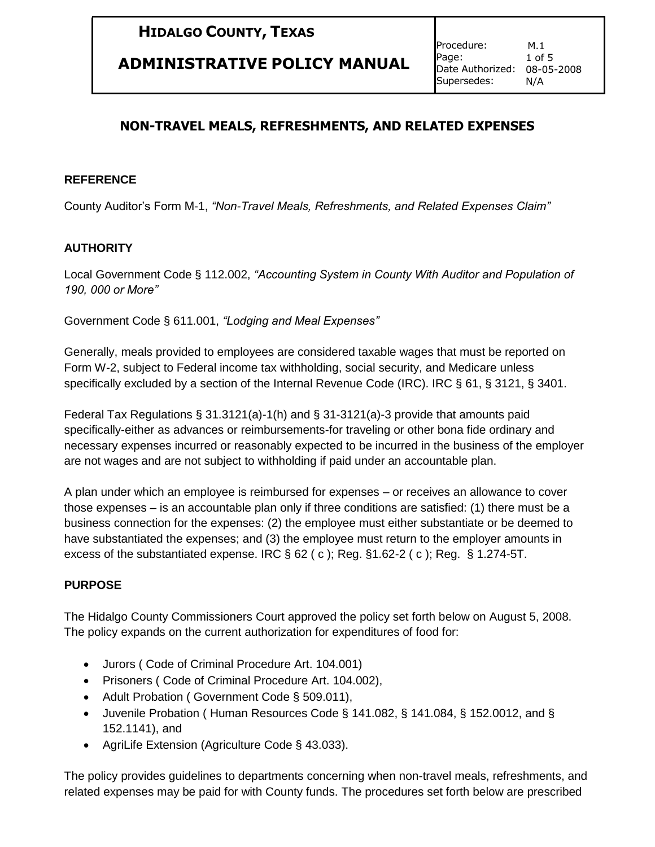## **ADMINISTRATIVE POLICY MANUAL**

### **NON-TRAVEL MEALS, REFRESHMENTS, AND RELATED EXPENSES**

#### **REFERENCE**

County Auditor's Form M-1, *"Non-Travel Meals, Refreshments, and Related Expenses Claim"* 

### **AUTHORITY**

Local Government Code § 112.002, *"Accounting System in County With Auditor and Population of 190, 000 or More"*

Government Code § 611.001, *"Lodging and Meal Expenses"*

Generally, meals provided to employees are considered taxable wages that must be reported on Form W-2, subject to Federal income tax withholding, social security, and Medicare unless specifically excluded by a section of the Internal Revenue Code (IRC). IRC § 61, § 3121, § 3401.

Federal Tax Regulations § 31.3121(a)-1(h) and § 31-3121(a)-3 provide that amounts paid specifically-either as advances or reimbursements-for traveling or other bona fide ordinary and necessary expenses incurred or reasonably expected to be incurred in the business of the employer are not wages and are not subject to withholding if paid under an accountable plan.

A plan under which an employee is reimbursed for expenses – or receives an allowance to cover those expenses – is an accountable plan only if three conditions are satisfied: (1) there must be a business connection for the expenses: (2) the employee must either substantiate or be deemed to have substantiated the expenses; and (3) the employee must return to the employer amounts in excess of the substantiated expense. IRC  $\S$  62 (c); Reg.  $\S$ 1.62-2 (c); Reg.  $\S$  1.274-5T.

### **PURPOSE**

The Hidalgo County Commissioners Court approved the policy set forth below on August 5, 2008. The policy expands on the current authorization for expenditures of food for:

- Jurors ( Code of Criminal Procedure Art. 104.001)
- Prisoners ( Code of Criminal Procedure Art. 104.002),
- Adult Probation (Government Code § 509.011),
- Juvenile Probation ( Human Resources Code § 141.082, § 141.084, § 152.0012, and § 152.1141), and
- AgriLife Extension (Agriculture Code § 43.033).

The policy provides guidelines to departments concerning when non-travel meals, refreshments, and related expenses may be paid for with County funds. The procedures set forth below are prescribed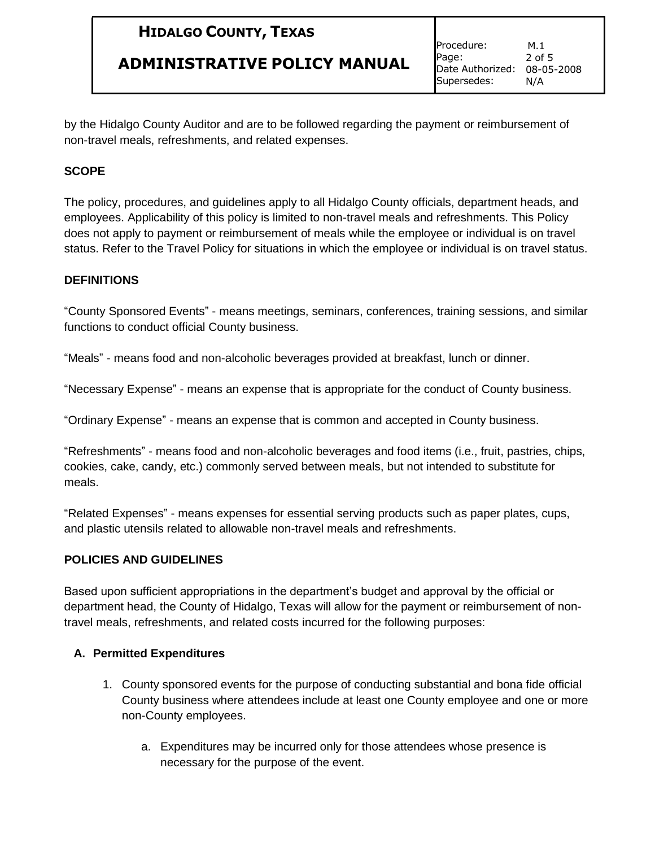### **ADMINISTRATIVE POLICY MANUAL**

Procedure: Page: Date Authorized: 08-05-2008 Supersedes: M.1 2 of 5 N/A

by the Hidalgo County Auditor and are to be followed regarding the payment or reimbursement of non-travel meals, refreshments, and related expenses.

### **SCOPE**

The policy, procedures, and guidelines apply to all Hidalgo County officials, department heads, and employees. Applicability of this policy is limited to non-travel meals and refreshments. This Policy does not apply to payment or reimbursement of meals while the employee or individual is on travel status. Refer to the Travel Policy for situations in which the employee or individual is on travel status.

#### **DEFINITIONS**

"County Sponsored Events" - means meetings, seminars, conferences, training sessions, and similar functions to conduct official County business.

"Meals" - means food and non-alcoholic beverages provided at breakfast, lunch or dinner.

"Necessary Expense" - means an expense that is appropriate for the conduct of County business.

"Ordinary Expense" - means an expense that is common and accepted in County business.

"Refreshments" - means food and non-alcoholic beverages and food items (i.e., fruit, pastries, chips, cookies, cake, candy, etc.) commonly served between meals, but not intended to substitute for meals.

"Related Expenses" - means expenses for essential serving products such as paper plates, cups, and plastic utensils related to allowable non-travel meals and refreshments.

### **POLICIES AND GUIDELINES**

Based upon sufficient appropriations in the department's budget and approval by the official or department head, the County of Hidalgo, Texas will allow for the payment or reimbursement of nontravel meals, refreshments, and related costs incurred for the following purposes:

### **A. Permitted Expenditures**

- 1. County sponsored events for the purpose of conducting substantial and bona fide official County business where attendees include at least one County employee and one or more non-County employees.
	- a. Expenditures may be incurred only for those attendees whose presence is necessary for the purpose of the event.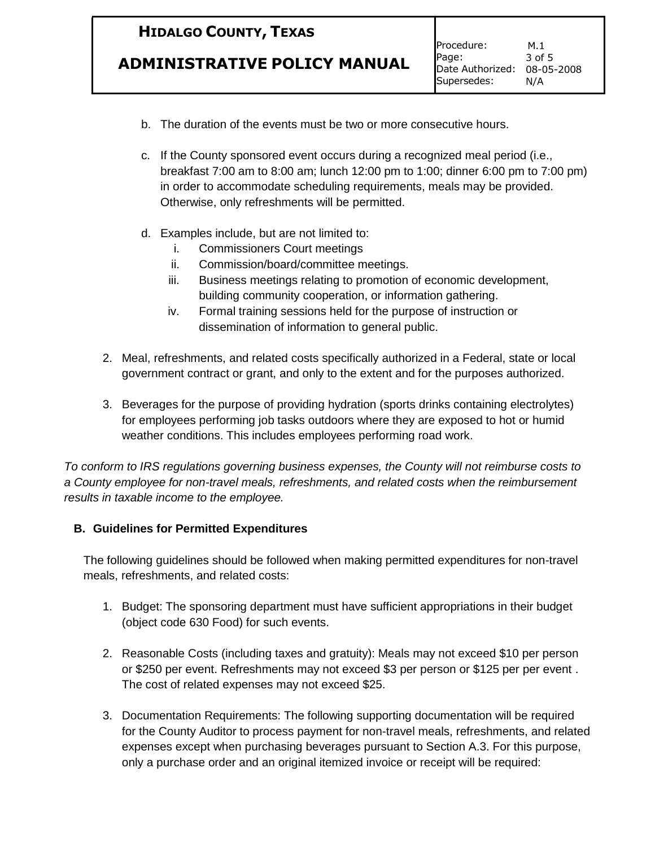## **ADMINISTRATIVE POLICY MANUAL**

- b. The duration of the events must be two or more consecutive hours.
- c. If the County sponsored event occurs during a recognized meal period (i.e., breakfast 7:00 am to 8:00 am; lunch 12:00 pm to 1:00; dinner 6:00 pm to 7:00 pm) in order to accommodate scheduling requirements, meals may be provided. Otherwise, only refreshments will be permitted.
- d. Examples include, but are not limited to:
	- i. Commissioners Court meetings
	- ii. Commission/board/committee meetings.
	- iii. Business meetings relating to promotion of economic development, building community cooperation, or information gathering.
	- iv. Formal training sessions held for the purpose of instruction or dissemination of information to general public.
- 2. Meal, refreshments, and related costs specifically authorized in a Federal, state or local government contract or grant, and only to the extent and for the purposes authorized.
- 3. Beverages for the purpose of providing hydration (sports drinks containing electrolytes) for employees performing job tasks outdoors where they are exposed to hot or humid weather conditions. This includes employees performing road work.

*To conform to IRS regulations governing business expenses, the County will not reimburse costs to a County employee for non-travel meals, refreshments, and related costs when the reimbursement results in taxable income to the employee.* 

### **B. Guidelines for Permitted Expenditures**

The following guidelines should be followed when making permitted expenditures for non-travel meals, refreshments, and related costs:

- 1. Budget: The sponsoring department must have sufficient appropriations in their budget (object code 630 Food) for such events.
- 2. Reasonable Costs (including taxes and gratuity): Meals may not exceed \$10 per person or \$250 per event. Refreshments may not exceed \$3 per person or \$125 per per event . The cost of related expenses may not exceed \$25.
- 3. Documentation Requirements: The following supporting documentation will be required for the County Auditor to process payment for non-travel meals, refreshments, and related expenses except when purchasing beverages pursuant to Section A.3. For this purpose, only a purchase order and an original itemized invoice or receipt will be required: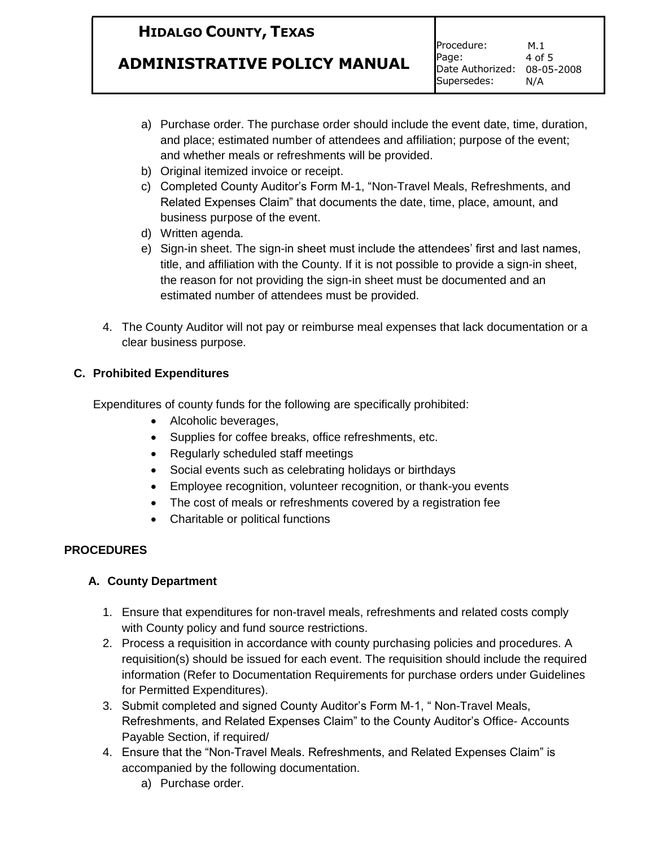## **ADMINISTRATIVE POLICY MANUAL**

- a) Purchase order. The purchase order should include the event date, time, duration, and place; estimated number of attendees and affiliation; purpose of the event; and whether meals or refreshments will be provided.
- b) Original itemized invoice or receipt.
- c) Completed County Auditor's Form M-1, "Non-Travel Meals, Refreshments, and Related Expenses Claim" that documents the date, time, place, amount, and business purpose of the event.
- d) Written agenda.
- e) Sign-in sheet. The sign-in sheet must include the attendees' first and last names, title, and affiliation with the County. If it is not possible to provide a sign-in sheet, the reason for not providing the sign-in sheet must be documented and an estimated number of attendees must be provided.
- 4. The County Auditor will not pay or reimburse meal expenses that lack documentation or a clear business purpose.

### **C. Prohibited Expenditures**

Expenditures of county funds for the following are specifically prohibited:

- Alcoholic beverages,
- Supplies for coffee breaks, office refreshments, etc.
- Regularly scheduled staff meetings
- Social events such as celebrating holidays or birthdays
- Employee recognition, volunteer recognition, or thank-you events
- The cost of meals or refreshments covered by a registration fee
- Charitable or political functions

### **PROCEDURES**

### **A. County Department**

- 1. Ensure that expenditures for non-travel meals, refreshments and related costs comply with County policy and fund source restrictions.
- 2. Process a requisition in accordance with county purchasing policies and procedures. A requisition(s) should be issued for each event. The requisition should include the required information (Refer to Documentation Requirements for purchase orders under Guidelines for Permitted Expenditures).
- 3. Submit completed and signed County Auditor's Form M-1, " Non-Travel Meals, Refreshments, and Related Expenses Claim" to the County Auditor's Office- Accounts Payable Section, if required/
- 4. Ensure that the "Non-Travel Meals. Refreshments, and Related Expenses Claim" is accompanied by the following documentation.
	- a) Purchase order.